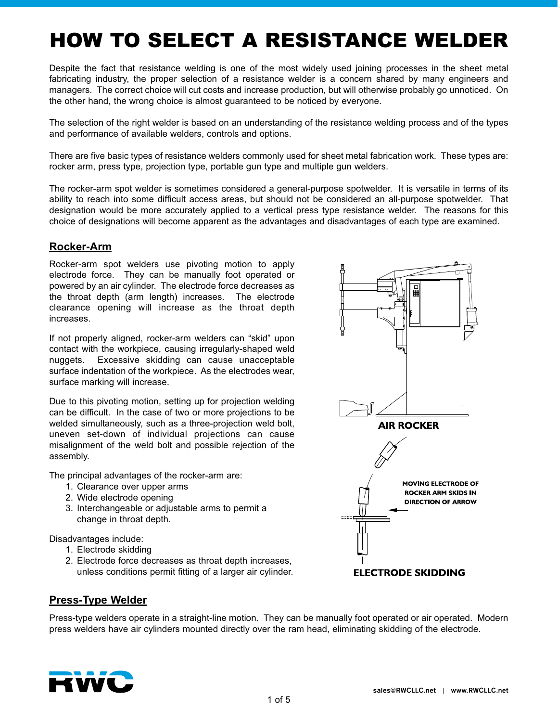# HOW TO SELECT A RESISTANCE WELDER

Despite the fact that resistance welding is one of the most widely used joining processes in the sheet metal fabricating industry, the proper selection of a resistance welder is a concern shared by many engineers and managers. The correct choice will cut costs and increase production, but will otherwise probably go unnoticed. On the other hand, the wrong choice is almost guaranteed to be noticed by everyone.

The selection of the right welder is based on an understanding of the resistance welding process and of the types and performance of available welders, controls and options.

There are five basic types of resistance welders commonly used for sheet metal fabrication work. These types are: rocker arm, press type, projection type, portable gun type and multiple gun welders.

The rocker-arm spot welder is sometimes considered a general-purpose spotwelder. It is versatile in terms of its ability to reach into some difficult access areas, but should not be considered an all-purpose spotwelder. That designation would be more accurately applied to a vertical press type resistance welder. The reasons for this choice of designations will become apparent as the advantages and disadvantages of each type are examined.

# **Rocker-Arm**

Rocker-arm spot welders use pivoting motion to apply electrode force. They can be manually foot operated or powered by an air cylinder. The electrode force decreases as the throat depth (arm length) increases. The electrode clearance opening will increase as the throat depth increases.

If not properly aligned, rocker-arm welders can "skid" upon contact with the workpiece, causing irregularly-shaped weld nuggets. Excessive skidding can cause unacceptable surface indentation of the workpiece. As the electrodes wear, surface marking will increase.

Due to this pivoting motion, setting up for projection welding can be difficult. In the case of two or more projections to be welded simultaneously, such as a three-projection weld bolt, uneven set-down of individual projections can cause misalignment of the weld bolt and possible rejection of the assembly.

The principal advantages of the rocker-arm are:

- 1. Clearance over upper arms
- 2. Wide electrode opening
- 3. Interchangeable or adjustable arms to permit a change in throat depth.

Disadvantages include:

- 1. Electrode skidding
- 2. Electrode force decreases as throat depth increases, unless conditions permit fitting of a larger air cylinder.



## **Press-Type Welder**

Press-type welders operate in a straight-line motion. They can be manually foot operated or air operated. Modern press welders have air cylinders mounted directly over the ram head, eliminating skidding of the electrode.

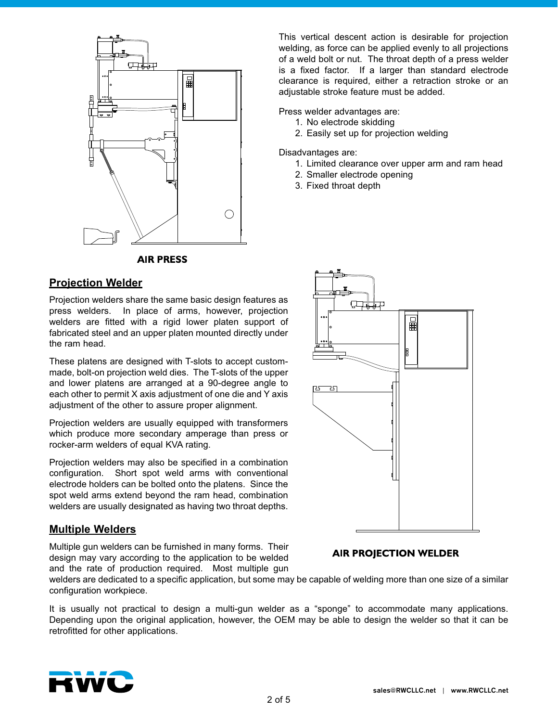

**AIR PRESS** 

# **Projection Welder**

Projection welders share the same basic design features as press welders. In place of arms, however, projection welders are fitted with a rigid lower platen support of fabricated steel and an upper platen mounted directly under the ram head.

These platens are designed with T-slots to accept custommade, bolt-on projection weld dies. The T-slots of the upper and lower platens are arranged at a 90-degree angle to each other to permit X axis adjustment of one die and Y axis adjustment of the other to assure proper alignment.

Projection welders are usually equipped with transformers which produce more secondary amperage than press or rocker-arm welders of equal KVA rating.

Projection welders may also be specified in a combination configuration. Short spot weld arms with conventional electrode holders can be bolted onto the platens. Since the spot weld arms extend beyond the ram head, combination welders are usually designated as having two throat depths.

# **Multiple Welders**

Multiple gun welders can be furnished in many forms. Their design may vary according to the application to be welded and the rate of production required. Most multiple gun

╓ 一躍 **RST** 그5

This vertical descent action is desirable for projection welding, as force can be applied evenly to all projections of a weld bolt or nut. The throat depth of a press welder is a fixed factor. If a larger than standard electrode clearance is required, either a retraction stroke or an

1. Limited clearance over upper arm and ram head

adjustable stroke feature must be added.

2. Smaller electrode opening

2. Easily set up for projection welding

Press welder advantages are: 1. No electrode skidding

3. Fixed throat depth

Disadvantages are:

#### **AIR PROJECTION WELDER**

welders are dedicated to a specific application, but some may be capable of welding more than one size of a similar configuration workpiece.

It is usually not practical to design a multi-gun welder as a "sponge" to accommodate many applications. Depending upon the original application, however, the OEM may be able to design the welder so that it can be retrofitted for other applications.

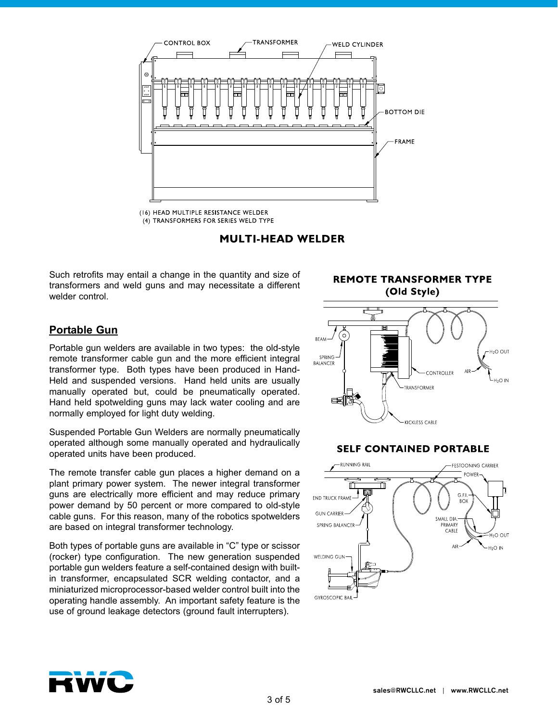

<sup>(16)</sup> HEAD MULTIPLE RESISTANCE WELDER (4) TRANSFORMERS FOR SERIES WELD TYPE

**MULTI-HEAD WELDER** 

Such retrofits may entail a change in the quantity and size of transformers and weld guns and may necessitate a different welder control.

(Old Style) ତି **BFAM**  $H<sub>2</sub>O$  Out SPRING BALANCER ONTROLLER H<sub>2</sub>O IN TRANSFORMER ⋿≦ KICKLESS CABLE

**REMOTE TRANSFORMER TYPE** 

#### **SELF CONTAINED PORTABLE**



# **Portable Gun**

Portable gun welders are available in two types: the old-style remote transformer cable gun and the more efficient integral transformer type. Both types have been produced in Hand-Held and suspended versions. Hand held units are usually manually operated but, could be pneumatically operated. Hand held spotwelding guns may lack water cooling and are normally employed for light duty welding.

Suspended Portable Gun Welders are normally pneumatically operated although some manually operated and hydraulically operated units have been produced.

The remote transfer cable gun places a higher demand on a plant primary power system. The newer integral transformer guns are electrically more efficient and may reduce primary power demand by 50 percent or more compared to old-style cable guns. For this reason, many of the robotics spotwelders are based on integral transformer technology.

Both types of portable guns are available in "C" type or scissor (rocker) type configuration. The new generation suspended portable gun welders feature a self-contained design with builtin transformer, encapsulated SCR welding contactor, and a miniaturized microprocessor-based welder control built into the operating handle assembly. An important safety feature is the use of ground leakage detectors (ground fault interrupters).

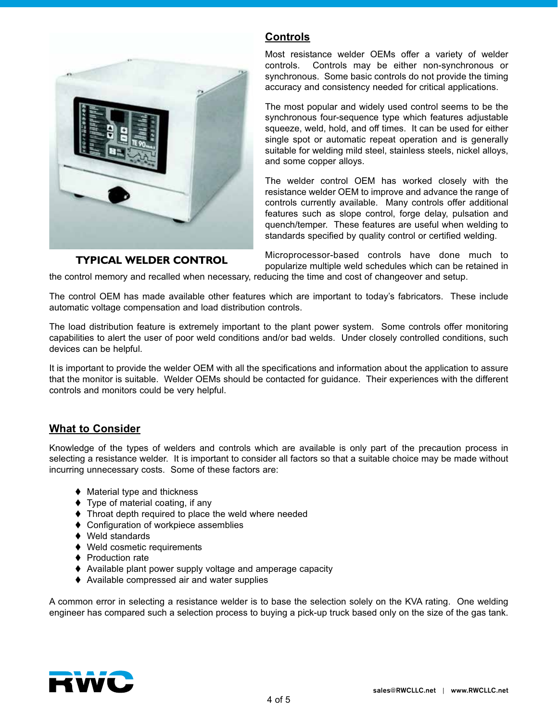

#### **TYPICAL WELDER CONTROL**

#### Most resistance welder OEMs offer a variety of welder controls. Controls may be either non-synchronous or synchronous. Some basic controls do not provide the timing accuracy and consistency needed for critical applications.

The most popular and widely used control seems to be the synchronous four-sequence type which features adjustable squeeze, weld, hold, and off times. It can be used for either single spot or automatic repeat operation and is generally suitable for welding mild steel, stainless steels, nickel alloys, and some copper alloys.

The welder control OEM has worked closely with the resistance welder OEM to improve and advance the range of controls currently available. Many controls offer additional features such as slope control, forge delay, pulsation and quench/temper. These features are useful when welding to standards specified by quality control or certified welding.

Microprocessor-based controls have done much to popularize multiple weld schedules which can be retained in the control memory and recalled when necessary, reducing the time and cost of changeover and setup.

The control OEM has made available other features which are important to today's fabricators. These include automatic voltage compensation and load distribution controls.

**Controls**

The load distribution feature is extremely important to the plant power system. Some controls offer monitoring capabilities to alert the user of poor weld conditions and/or bad welds. Under closely controlled conditions, such devices can be helpful.

It is important to provide the welder OEM with all the specifications and information about the application to assure that the monitor is suitable. Welder OEMs should be contacted for guidance. Their experiences with the different controls and monitors could be very helpful.

## **What to Consider**

Knowledge of the types of welders and controls which are available is only part of the precaution process in selecting a resistance welder. It is important to consider all factors so that a suitable choice may be made without incurring unnecessary costs. Some of these factors are:

- $\blacklozenge$  Material type and thickness
- $\blacktriangleright$  Type of material coating, if any
- $\blacklozenge$  Throat depth required to place the weld where needed
- ♦ Configuration of workpiece assemblies
- $\blacklozenge$  Weld standards
- $\blacklozenge$  Weld cosmetic requirements
- ♦ Production rate
- ♦ Available plant power supply voltage and amperage capacity
- $\blacklozenge$  Available compressed air and water supplies

A common error in selecting a resistance welder is to base the selection solely on the KVA rating. One welding engineer has compared such a selection process to buying a pick-up truck based only on the size of the gas tank.